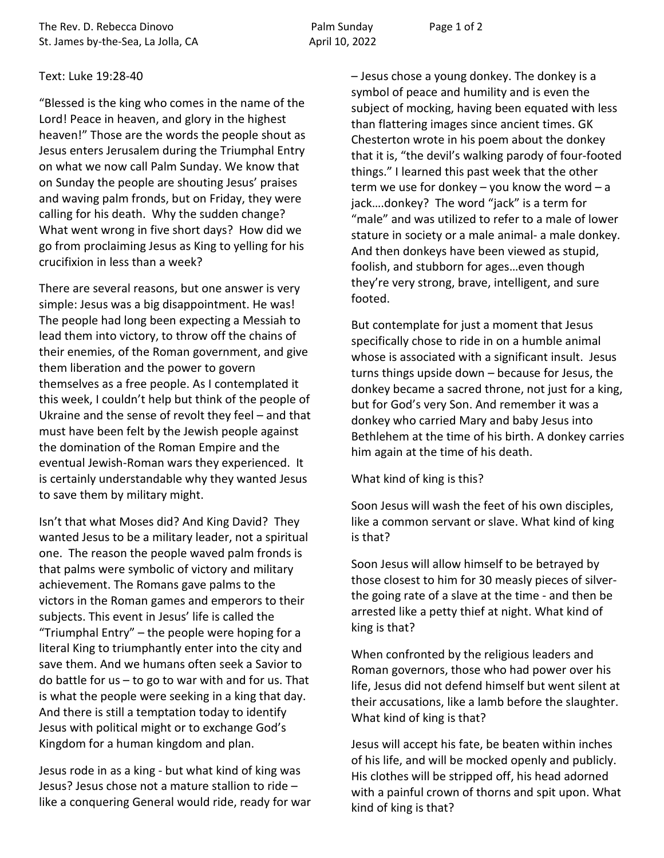## Text: Luke 19:28-40

"Blessed is the king who comes in the name of the Lord! Peace in heaven, and glory in the highest heaven!" Those are the words the people shout as Jesus enters Jerusalem during the Triumphal Entry on what we now call Palm Sunday. We know that on Sunday the people are shouting Jesus' praises and waving palm fronds, but on Friday, they were calling for his death. Why the sudden change? What went wrong in five short days? How did we go from proclaiming Jesus as King to yelling for his crucifixion in less than a week?

There are several reasons, but one answer is very simple: Jesus was a big disappointment. He was! The people had long been expecting a Messiah to lead them into victory, to throw off the chains of their enemies, of the Roman government, and give them liberation and the power to govern themselves as a free people. As I contemplated it this week, I couldn't help but think of the people of Ukraine and the sense of revolt they feel – and that must have been felt by the Jewish people against the domination of the Roman Empire and the eventual Jewish-Roman wars they experienced. It is certainly understandable why they wanted Jesus to save them by military might.

Isn't that what Moses did? And King David? They wanted Jesus to be a military leader, not a spiritual one. The reason the people waved palm fronds is that palms were symbolic of victory and military achievement. The Romans gave palms to the victors in the Roman games and emperors to their subjects. This event in Jesus' life is called the "Triumphal Entry" – the people were hoping for a literal King to triumphantly enter into the city and save them. And we humans often seek a Savior to do battle for us – to go to war with and for us. That is what the people were seeking in a king that day. And there is still a temptation today to identify Jesus with political might or to exchange God's Kingdom for a human kingdom and plan.

Jesus rode in as a king - but what kind of king was Jesus? Jesus chose not a mature stallion to ride – like a conquering General would ride, ready for war – Jesus chose a young donkey. The donkey is a symbol of peace and humility and is even the subject of mocking, having been equated with less than flattering images since ancient times. GK Chesterton wrote in his poem about the donkey that it is, "the devil's walking parody of four-footed things." I learned this past week that the other term we use for donkey  $-$  you know the word  $-$  a jack….donkey? The word "jack" is a term for "male" and was utilized to refer to a male of lower stature in society or a male animal- a male donkey. And then donkeys have been viewed as stupid, foolish, and stubborn for ages…even though they're very strong, brave, intelligent, and sure footed.

But contemplate for just a moment that Jesus specifically chose to ride in on a humble animal whose is associated with a significant insult. Jesus turns things upside down – because for Jesus, the donkey became a sacred throne, not just for a king, but for God's very Son. And remember it was a donkey who carried Mary and baby Jesus into Bethlehem at the time of his birth. A donkey carries him again at the time of his death.

What kind of king is this?

Soon Jesus will wash the feet of his own disciples, like a common servant or slave. What kind of king is that?

Soon Jesus will allow himself to be betrayed by those closest to him for 30 measly pieces of silverthe going rate of a slave at the time - and then be arrested like a petty thief at night. What kind of king is that?

When confronted by the religious leaders and Roman governors, those who had power over his life, Jesus did not defend himself but went silent at their accusations, like a lamb before the slaughter. What kind of king is that?

Jesus will accept his fate, be beaten within inches of his life, and will be mocked openly and publicly. His clothes will be stripped off, his head adorned with a painful crown of thorns and spit upon. What kind of king is that?